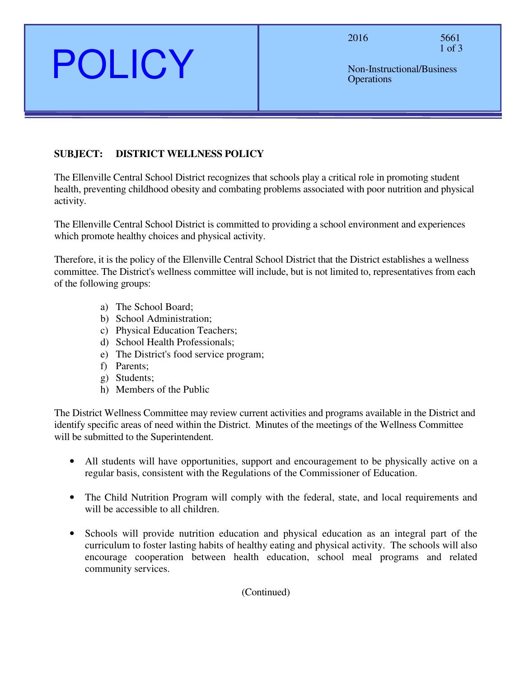2016 5661 1 of 3

Non-Instructional/Business **Operations** 

# **SUBJECT: DISTRICT WELLNESS POLICY**

POLICY

The Ellenville Central School District recognizes that schools play a critical role in promoting student health, preventing childhood obesity and combating problems associated with poor nutrition and physical activity.

The Ellenville Central School District is committed to providing a school environment and experiences which promote healthy choices and physical activity.

Therefore, it is the policy of the Ellenville Central School District that the District establishes a wellness committee. The District's wellness committee will include, but is not limited to, representatives from each of the following groups:

- a) The School Board;
- b) School Administration;
- c) Physical Education Teachers;
- d) School Health Professionals;
- e) The District's food service program;
- f) Parents;
- g) Students;
- h) Members of the Public

The District Wellness Committee may review current activities and programs available in the District and identify specific areas of need within the District. Minutes of the meetings of the Wellness Committee will be submitted to the Superintendent.

- All students will have opportunities, support and encouragement to be physically active on a regular basis, consistent with the Regulations of the Commissioner of Education.
- The Child Nutrition Program will comply with the federal, state, and local requirements and will be accessible to all children.
- Schools will provide nutrition education and physical education as an integral part of the curriculum to foster lasting habits of healthy eating and physical activity. The schools will also encourage cooperation between health education, school meal programs and related community services.

(Continued)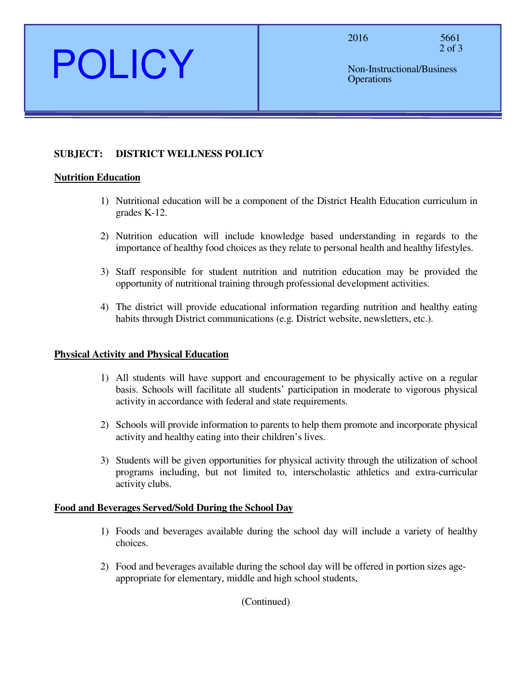2016 5661 2 of 3

Non-Instructional/Business **Operations** 

# **SUBJECT: DISTRICT WELLNESS POLICY**

#### **Nutrition Education**

POLICY

- 1) Nutritional education will be a component of the District Health Education curriculum in grades K-12.
- 2) Nutrition education will include knowledge based understanding in regards to the importance of healthy food choices as they relate to personal health and healthy lifestyles.
- 3) Staff responsible for student nutrition and nutrition education may be provided the opportunity of nutritional training through professional development activities.
- 4) The district will provide educational information regarding nutrition and healthy eating habits through District communications (e.g. District website, newsletters, etc.).

## **Physical Activity and Physical Education**

- 1) All students will have support and encouragement to be physically active on a regular basis. Schools will facilitate all students' participation in moderate to vigorous physical activity in accordance with federal and state requirements.
- 2) Schools will provide information to parents to help them promote and incorporate physical activity and healthy eating into their children's lives.
- 3) Students will be given opportunities for physical activity through the utilization of school programs including, but not limited to, interscholastic athletics and extra-curricular activity clubs.

#### **Food and Beverages Served/Sold During the School Day**

- 1) Foods and beverages available during the school day will include a variety of healthy choices.
- 2) Food and beverages available during the school day will be offered in portion sizes ageappropriate for elementary, middle and high school students,

(Continued)